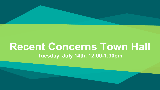#### **Recent Concerns Town Hall Tuesday, July 14th, 12:00-1:30pm**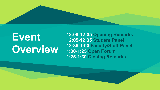## **Event Overview**

**12:00-12:05 Opening Remarks 12:05-12:35 Student Panel 12:35-1:00 Faculty/Staff Panel 1:00-1:25 Open Forum 1:25-1:30 Closing Remarks**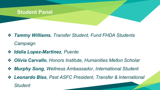

- ❖ *Tammy Williams, Transfer Student, Fund FHDA Students Campaign*
- ❖ *Idalia Lopez-Martinez, Puente*
- ❖ *Olivia Carvallo, Honors Institute, Humanities Mellon Scholar*
- ❖ *Murphy Song, Wellness Ambassador, International Student*
- ❖ *Leonardo Blas, Past ASFC President, Transfer & International Student*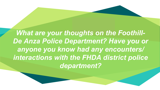**What are your thoughts on the Foothill-***De Anza Police Department? Have you or anyone you know had any encounters/ interactions with the FHDA district police department?*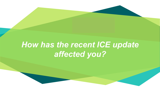#### *How has the recent ICE update affected you?*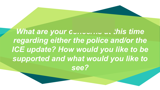*What are your concerns at this time regarding either the police and/or the ICE update? How would you like to be supported and what would you like to see?*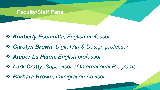#### **Faculty/Staff Panel**

- ❖ *Kimberly Escamilla, English professor*
- ❖ *Carolyn Brown, Digital Art & Design professor*
- ❖ *Amber La Piana, English professor*
- ❖ *Lark Cratty, Supervisor of International Programs*
- ❖ *Barbara Brown, Immigration Advisor*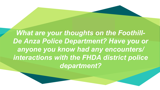**What are your thoughts on the Foothill-***De Anza Police Department? Have you or anyone you know had any encounters/ interactions with the FHDA district police department?*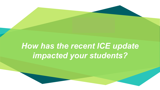### *How has the recent ICE update impacted your students?*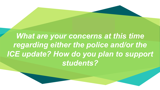**"** *What are your concerns at this time regarding either the police and/or the ICE update? How do you plan to support students?*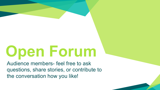# **Open Forum**

Audience members- feel free to ask questions, share stories, or contribute to the conversation how you like!